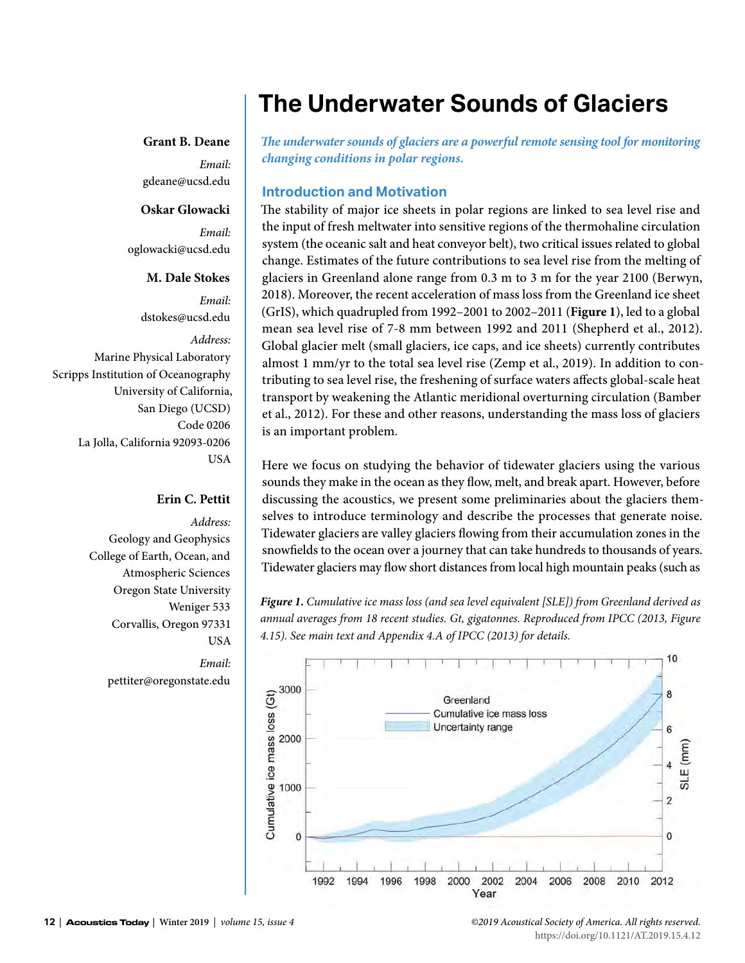# **The Underwater Sounds of Glaciers**

#### **Grant B. Deane**

*Email:* gdeane@ucsd.edu

#### **Oskar Glowacki**

*Email:* oglowacki@ucsd.edu

#### **M. Dale Stokes**

*Email:* dstokes@ucsd.edu

*Address:* Marine Physical Laboratory Scripps Institution of Oceanography University of California, San Diego (UCSD) Code 0206 La Jolla, California 92093-0206 **USA** 

# **Erin C. Pettit**

*Address:* Geology and Geophysics College of Earth, Ocean, and Atmospheric Sciences Oregon State University Weniger 533 Corvallis, Oregon 97331 **USA** *Email:* pettiter@oregonstate.edu

*The underwater sounds of glaciers are a powerful remote sensing tool for monitoring changing conditions in polar regions.*

#### **Introduction and Motivation**

The stability of major ice sheets in polar regions are linked to sea level rise and the input of fresh meltwater into sensitive regions of the thermohaline circulation system (the oceanic salt and heat conveyor belt), two critical issues related to global change. Estimates of the future contributions to sea level rise from the melting of glaciers in Greenland alone range from 0.3 m to 3 m for the year 2100 (Berwyn, 2018). Moreover, the recent acceleration of mass loss from the Greenland ice sheet (GrIS), which quadrupled from 1992–2001 to 2002–2011 (**Figure 1**), led to a global mean sea level rise of 7-8 mm between 1992 and 2011 (Shepherd et al., 2012). Global glacier melt (small glaciers, ice caps, and ice sheets) currently contributes almost 1 mm/yr to the total sea level rise (Zemp et al., 2019). In addition to contributing to sea level rise, the freshening of surface waters affects global-scale heat transport by weakening the Atlantic meridional overturning circulation (Bamber et al., 2012). For these and other reasons, understanding the mass loss of glaciers is an important problem.

Here we focus on studying the behavior of tidewater glaciers using the various sounds they make in the ocean as they flow, melt, and break apart. However, before discussing the acoustics, we present some preliminaries about the glaciers themselves to introduce terminology and describe the processes that generate noise. Tidewater glaciers are valley glaciers flowing from their accumulation zones in the snowfields to the ocean over a journey that can take hundreds to thousands of years. Tidewater glaciers may flow short distances from local high mountain peaks (such as

*Figure 1. Cumulative ice mass loss (and sea level equivalent [SLE]) from Greenland derived as annual averages from 18 recent studies. Gt, gigatonnes. Reproduced from IPCC (2013, Figure 4.15). See main text and Appendix 4.A of IPCC (2013) for details.*

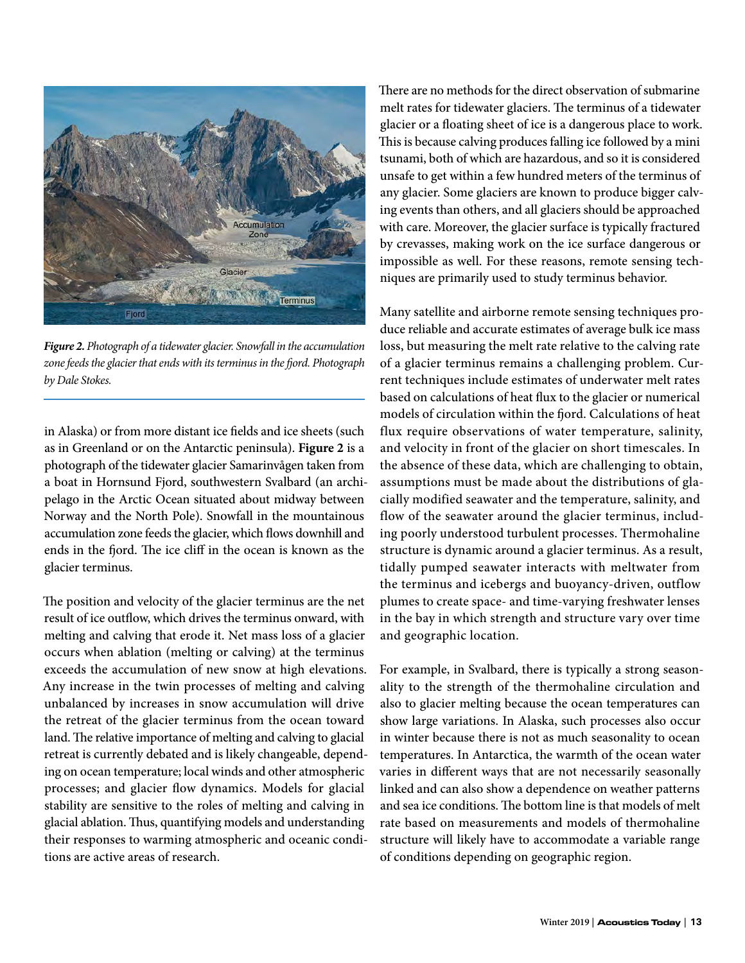

*Figure 2. Photograph of a tidewater glacier. Snowfall in the accumulation zone feeds the glacier that ends with its terminus in the fjord. Photograph by Dale Stokes.*

in Alaska) or from more distant ice fields and ice sheets (such as in Greenland or on the Antarctic peninsula). **Figure 2** is a photograph of the tidewater glacier Samarinvågen taken from a boat in Hornsund Fjord, southwestern Svalbard (an archipelago in the Arctic Ocean situated about midway between Norway and the North Pole). Snowfall in the mountainous accumulation zone feeds the glacier, which flows downhill and ends in the fjord. The ice cliff in the ocean is known as the glacier terminus.

The position and velocity of the glacier terminus are the net result of ice outflow, which drives the terminus onward, with melting and calving that erode it. Net mass loss of a glacier occurs when ablation (melting or calving) at the terminus exceeds the accumulation of new snow at high elevations. Any increase in the twin processes of melting and calving unbalanced by increases in snow accumulation will drive the retreat of the glacier terminus from the ocean toward land. The relative importance of melting and calving to glacial retreat is currently debated and is likely changeable, depending on ocean temperature; local winds and other atmospheric processes; and glacier flow dynamics. Models for glacial stability are sensitive to the roles of melting and calving in glacial ablation. Thus, quantifying models and understanding their responses to warming atmospheric and oceanic conditions are active areas of research.

There are no methods for the direct observation of submarine melt rates for tidewater glaciers. The terminus of a tidewater glacier or a floating sheet of ice is a dangerous place to work. This is because calving produces falling ice followed by a mini tsunami, both of which are hazardous, and so it is considered unsafe to get within a few hundred meters of the terminus of any glacier. Some glaciers are known to produce bigger calving events than others, and all glaciers should be approached with care. Moreover, the glacier surface is typically fractured by crevasses, making work on the ice surface dangerous or impossible as well. For these reasons, remote sensing techniques are primarily used to study terminus behavior.

Many satellite and airborne remote sensing techniques produce reliable and accurate estimates of average bulk ice mass loss, but measuring the melt rate relative to the calving rate of a glacier terminus remains a challenging problem. Current techniques include estimates of underwater melt rates based on calculations of heat flux to the glacier or numerical models of circulation within the fjord. Calculations of heat flux require observations of water temperature, salinity, and velocity in front of the glacier on short timescales. In the absence of these data, which are challenging to obtain, assumptions must be made about the distributions of glacially modified seawater and the temperature, salinity, and flow of the seawater around the glacier terminus, including poorly understood turbulent processes. Thermohaline structure is dynamic around a glacier terminus. As a result, tidally pumped seawater interacts with meltwater from the terminus and icebergs and buoyancy-driven, outflow plumes to create space- and time-varying freshwater lenses in the bay in which strength and structure vary over time and geographic location.

For example, in Svalbard, there is typically a strong seasonality to the strength of the thermohaline circulation and also to glacier melting because the ocean temperatures can show large variations. In Alaska, such processes also occur in winter because there is not as much seasonality to ocean temperatures. In Antarctica, the warmth of the ocean water varies in different ways that are not necessarily seasonally linked and can also show a dependence on weather patterns and sea ice conditions. The bottom line is that models of melt rate based on measurements and models of thermohaline structure will likely have to accommodate a variable range of conditions depending on geographic region.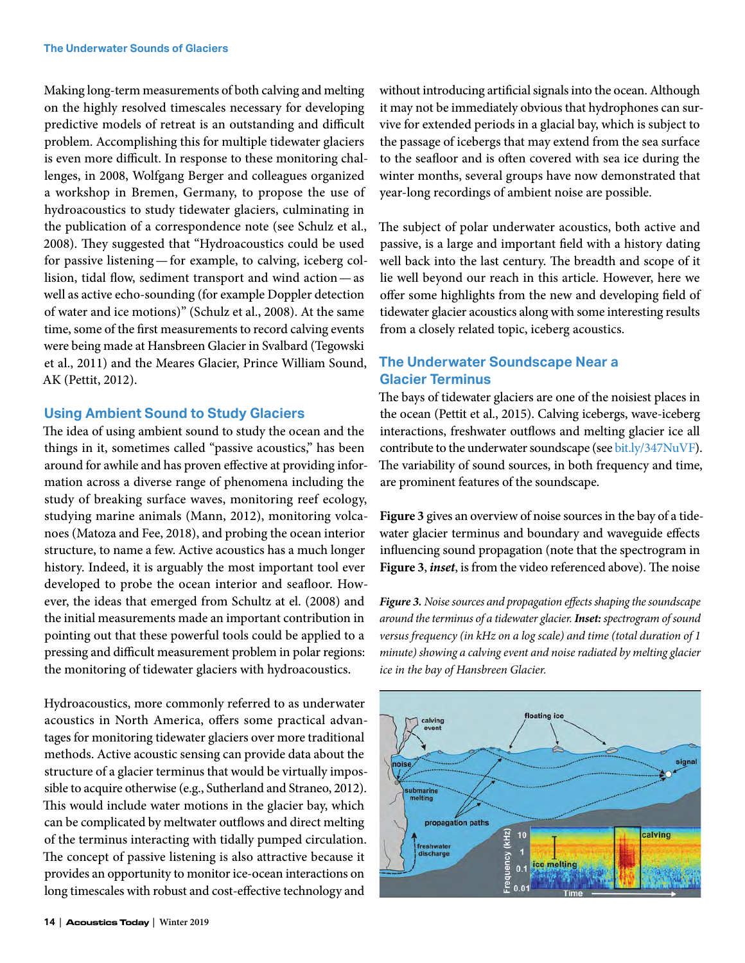Making long-term measurements of both calving and melting on the highly resolved timescales necessary for developing predictive models of retreat is an outstanding and difficult problem. Accomplishing this for multiple tidewater glaciers is even more difficult. In response to these monitoring challenges, in 2008, Wolfgang Berger and colleagues organized a workshop in Bremen, Germany, to propose the use of hydroacoustics to study tidewater glaciers, culminating in the publication of a correspondence note (see Schulz et al., 2008). They suggested that "Hydroacoustics could be used for passive listening—for example, to calving, iceberg collision, tidal flow, sediment transport and wind action—as well as active echo-sounding (for example Doppler detection of water and ice motions)" (Schulz et al., 2008). At the same time, some of the first measurements to record calving events were being made at Hansbreen Glacier in Svalbard (Tegowski et al., 2011) and the Meares Glacier, Prince William Sound, AK (Pettit, 2012).

# **Using Ambient Sound to Study Glaciers**

The idea of using ambient sound to study the ocean and the things in it, sometimes called "passive acoustics," has been around for awhile and has proven effective at providing information across a diverse range of phenomena including the study of breaking surface waves, monitoring reef ecology, studying marine animals (Mann, 2012), monitoring volcanoes (Matoza and Fee, 2018), and probing the ocean interior structure, to name a few. Active acoustics has a much longer history. Indeed, it is arguably the most important tool ever developed to probe the ocean interior and seafloor. However, the ideas that emerged from Schultz at el. (2008) and the initial measurements made an important contribution in pointing out that these powerful tools could be applied to a pressing and difficult measurement problem in polar regions: the monitoring of tidewater glaciers with hydroacoustics.

Hydroacoustics, more commonly referred to as underwater acoustics in North America, offers some practical advantages for monitoring tidewater glaciers over more traditional methods. Active acoustic sensing can provide data about the structure of a glacier terminus that would be virtually impossible to acquire otherwise (e.g., Sutherland and Straneo, 2012). This would include water motions in the glacier bay, which can be complicated by meltwater outflows and direct melting of the terminus interacting with tidally pumped circulation. The concept of passive listening is also attractive because it provides an opportunity to monitor ice-ocean interactions on long timescales with robust and cost-effective technology and

without introducing artificial signals into the ocean. Although it may not be immediately obvious that hydrophones can survive for extended periods in a glacial bay, which is subject to the passage of icebergs that may extend from the sea surface to the seafloor and is often covered with sea ice during the winter months, several groups have now demonstrated that year-long recordings of ambient noise are possible.

The subject of polar underwater acoustics, both active and passive, is a large and important field with a history dating well back into the last century. The breadth and scope of it lie well beyond our reach in this article. However, here we offer some highlights from the new and developing field of tidewater glacier acoustics along with some interesting results from a closely related topic, iceberg acoustics.

# **The Underwater Soundscape Near a Glacier Terminus**

The bays of tidewater glaciers are one of the noisiest places in the ocean (Pettit et al., 2015). Calving icebergs, wave-iceberg interactions, freshwater outflows and melting glacier ice all contribute to the underwater soundscape (see [bit.ly/347NuVF](http://bit.ly/347NuVF)). The variability of sound sources, in both frequency and time, are prominent features of the soundscape.

**Figure 3** gives an overview of noise sources in the bay of a tidewater glacier terminus and boundary and waveguide effects influencing sound propagation (note that the spectrogram in **Figure 3**, *inset*, is from the video referenced above). The noise

*Figure 3. Noise sources and propagation effects shaping the soundscape around the terminus of a tidewater glacier. Inset: spectrogram of sound versus frequency (in kHz on a log scale) and time (total duration of 1 minute) showing a calving event and noise radiated by melting glacier ice in the bay of Hansbreen Glacier.*

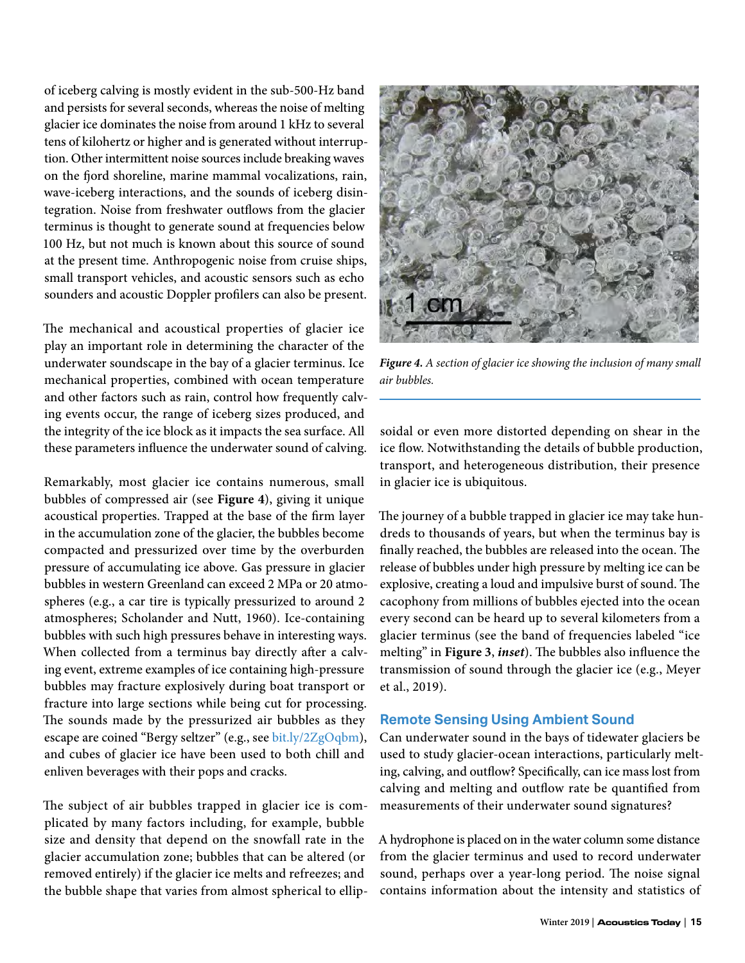of iceberg calving is mostly evident in the sub-500-Hz band and persists for several seconds, whereas the noise of melting glacier ice dominates the noise from around 1 kHz to several tens of kilohertz or higher and is generated without interruption. Other intermittent noise sources include breaking waves on the fjord shoreline, marine mammal vocalizations, rain, wave-iceberg interactions, and the sounds of iceberg disintegration. Noise from freshwater outflows from the glacier terminus is thought to generate sound at frequencies below 100 Hz, but not much is known about this source of sound at the present time. Anthropogenic noise from cruise ships, small transport vehicles, and acoustic sensors such as echo sounders and acoustic Doppler profilers can also be present.

The mechanical and acoustical properties of glacier ice play an important role in determining the character of the underwater soundscape in the bay of a glacier terminus. Ice mechanical properties, combined with ocean temperature and other factors such as rain, control how frequently calving events occur, the range of iceberg sizes produced, and the integrity of the ice block as it impacts the sea surface. All these parameters influence the underwater sound of calving.

Remarkably, most glacier ice contains numerous, small bubbles of compressed air (see **Figure 4**), giving it unique acoustical properties. Trapped at the base of the firm layer in the accumulation zone of the glacier, the bubbles become compacted and pressurized over time by the overburden pressure of accumulating ice above. Gas pressure in glacier bubbles in western Greenland can exceed 2 MPa or 20 atmospheres (e.g., a car tire is typically pressurized to around 2 atmospheres; Scholander and Nutt, 1960). Ice-containing bubbles with such high pressures behave in interesting ways. When collected from a terminus bay directly after a calving event, extreme examples of ice containing high-pressure bubbles may fracture explosively during boat transport or fracture into large sections while being cut for processing. The sounds made by the pressurized air bubbles as they escape are coined "Bergy seltzer" (e.g., see [bit.ly/2ZgOqbm](http://bit.ly/2ZgOqbm)), and cubes of glacier ice have been used to both chill and enliven beverages with their pops and cracks.

The subject of air bubbles trapped in glacier ice is complicated by many factors including, for example, bubble size and density that depend on the snowfall rate in the glacier accumulation zone; bubbles that can be altered (or removed entirely) if the glacier ice melts and refreezes; and the bubble shape that varies from almost spherical to ellip-



*Figure 4. A section of glacier ice showing the inclusion of many small air bubbles.*

soidal or even more distorted depending on shear in the ice flow. Notwithstanding the details of bubble production, transport, and heterogeneous distribution, their presence in glacier ice is ubiquitous.

The journey of a bubble trapped in glacier ice may take hundreds to thousands of years, but when the terminus bay is finally reached, the bubbles are released into the ocean. The release of bubbles under high pressure by melting ice can be explosive, creating a loud and impulsive burst of sound. The cacophony from millions of bubbles ejected into the ocean every second can be heard up to several kilometers from a glacier terminus (see the band of frequencies labeled "ice melting" in **Figure 3**, *inset*). The bubbles also influence the transmission of sound through the glacier ice (e.g., Meyer et al., 2019).

# **Remote Sensing Using Ambient Sound**

Can underwater sound in the bays of tidewater glaciers be used to study glacier-ocean interactions, particularly melting, calving, and outflow? Specifically, can ice mass lost from calving and melting and outflow rate be quantified from measurements of their underwater sound signatures?

A hydrophone is placed on in the water column some distance from the glacier terminus and used to record underwater sound, perhaps over a year-long period. The noise signal contains information about the intensity and statistics of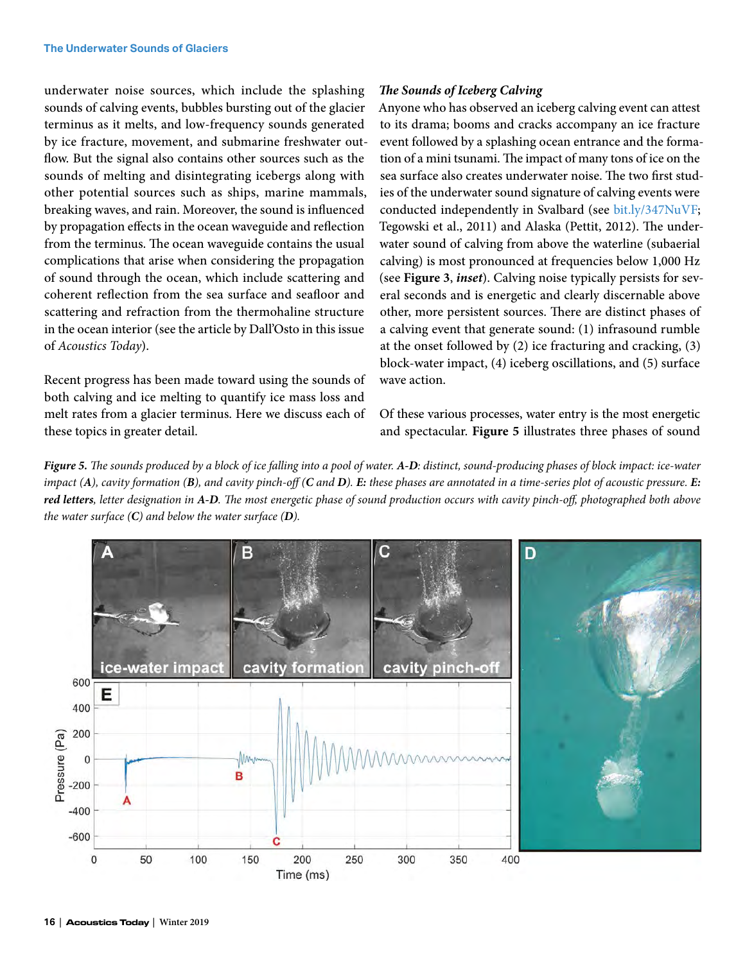underwater noise sources, which include the splashing sounds of calving events, bubbles bursting out of the glacier terminus as it melts, and low-frequency sounds generated by ice fracture, movement, and submarine freshwater outflow. But the signal also contains other sources such as the sounds of melting and disintegrating icebergs along with other potential sources such as ships, marine mammals, breaking waves, and rain. Moreover, the sound is influenced by propagation effects in the ocean waveguide and reflection from the terminus. The ocean waveguide contains the usual complications that arise when considering the propagation of sound through the ocean, which include scattering and coherent reflection from the sea surface and seafloor and scattering and refraction from the thermohaline structure in the ocean interior (see the article by Dall'Osto in this issue of *Acoustics Today*).

Recent progress has been made toward using the sounds of both calving and ice melting to quantify ice mass loss and melt rates from a glacier terminus. Here we discuss each of these topics in greater detail.

#### *The Sounds of Iceberg Calving*

Anyone who has observed an iceberg calving event can attest to its drama; booms and cracks accompany an ice fracture event followed by a splashing ocean entrance and the formation of a mini tsunami. The impact of many tons of ice on the sea surface also creates underwater noise. The two first studies of the underwater sound signature of calving events were conducted independently in Svalbard (see [bit.ly/347NuVF](http://bit.ly/347NuVF); Tegowski et al., 2011) and Alaska (Pettit, 2012). The underwater sound of calving from above the waterline (subaerial calving) is most pronounced at frequencies below 1,000 Hz (see **Figure 3**, *inset*). Calving noise typically persists for several seconds and is energetic and clearly discernable above other, more persistent sources. There are distinct phases of a calving event that generate sound: (1) infrasound rumble at the onset followed by (2) ice fracturing and cracking, (3) block-water impact, (4) iceberg oscillations, and (5) surface wave action.

Of these various processes, water entry is the most energetic and spectacular. **Figure 5** illustrates three phases of sound

*Figure 5. The sounds produced by a block of ice falling into a pool of water. A-D: distinct, sound-producing phases of block impact: ice-water*  impact (A), cavity formation (B), and cavity pinch-off (C and D). E: these phases are annotated in a time-series plot of acoustic pressure. E: *red letters, letter designation in A-D. The most energetic phase of sound production occurs with cavity pinch-off, photographed both above the water surface (C) and below the water surface (D).*

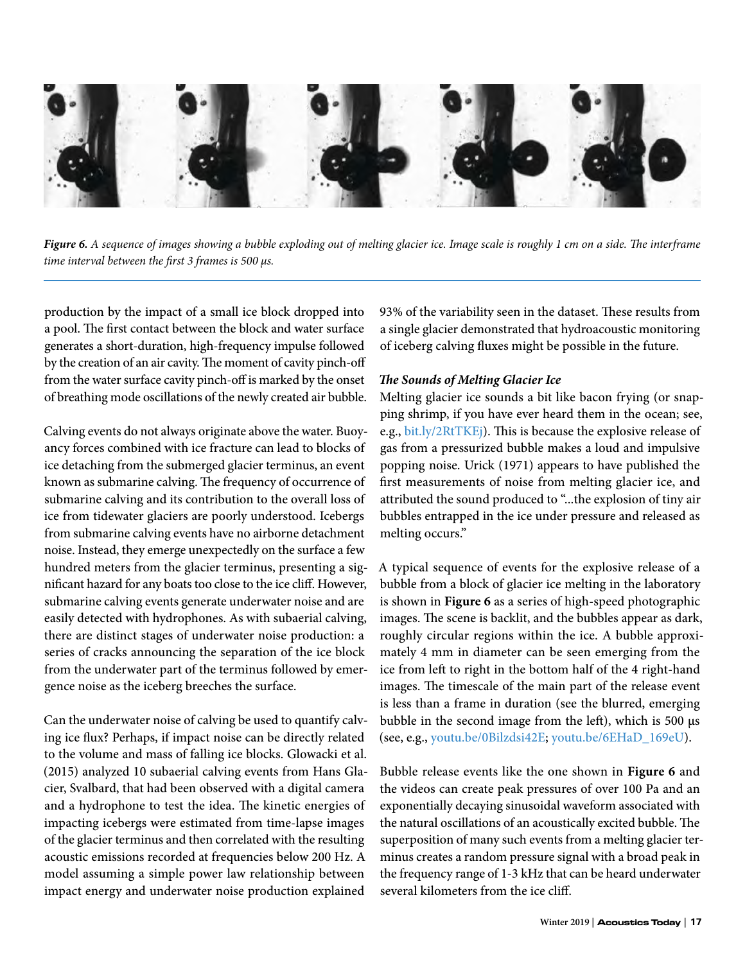

*Figure 6. A sequence of images showing a bubble exploding out of melting glacier ice. Image scale is roughly 1 cm on a side. The interframe time interval between the first 3 frames is 500 μs.*

production by the impact of a small ice block dropped into a pool. The first contact between the block and water surface generates a short-duration, high-frequency impulse followed by the creation of an air cavity. The moment of cavity pinch-off from the water surface cavity pinch-off is marked by the onset of breathing mode oscillations of the newly created air bubble.

Calving events do not always originate above the water. Buoyancy forces combined with ice fracture can lead to blocks of ice detaching from the submerged glacier terminus, an event known as submarine calving. The frequency of occurrence of submarine calving and its contribution to the overall loss of ice from tidewater glaciers are poorly understood. Icebergs from submarine calving events have no airborne detachment noise. Instead, they emerge unexpectedly on the surface a few hundred meters from the glacier terminus, presenting a significant hazard for any boats too close to the ice cliff. However, submarine calving events generate underwater noise and are easily detected with hydrophones. As with subaerial calving, there are distinct stages of underwater noise production: a series of cracks announcing the separation of the ice block from the underwater part of the terminus followed by emergence noise as the iceberg breeches the surface.

Can the underwater noise of calving be used to quantify calving ice flux? Perhaps, if impact noise can be directly related to the volume and mass of falling ice blocks. Glowacki et al. (2015) analyzed 10 subaerial calving events from Hans Glacier, Svalbard, that had been observed with a digital camera and a hydrophone to test the idea. The kinetic energies of impacting icebergs were estimated from time-lapse images of the glacier terminus and then correlated with the resulting acoustic emissions recorded at frequencies below 200 Hz. A model assuming a simple power law relationship between impact energy and underwater noise production explained

93% of the variability seen in the dataset. These results from a single glacier demonstrated that hydroacoustic monitoring of iceberg calving fluxes might be possible in the future.

#### *The Sounds of Melting Glacier Ice*

Melting glacier ice sounds a bit like bacon frying (or snapping shrimp, if you have ever heard them in the ocean; see, e.g., [bit.ly/2RtTKEj\)](http://bit.ly/2RtTKEj). This is because the explosive release of gas from a pressurized bubble makes a loud and impulsive popping noise. Urick (1971) appears to have published the first measurements of noise from melting glacier ice, and attributed the sound produced to "...the explosion of tiny air bubbles entrapped in the ice under pressure and released as melting occurs."

A typical sequence of events for the explosive release of a bubble from a block of glacier ice melting in the laboratory is shown in **Figure 6** as a series of high-speed photographic images. The scene is backlit, and the bubbles appear as dark, roughly circular regions within the ice. A bubble approximately 4 mm in diameter can be seen emerging from the ice from left to right in the bottom half of the 4 right-hand images. The timescale of the main part of the release event is less than a frame in duration (see the blurred, emerging bubble in the second image from the left), which is 500 μs (see, e.g., [youtu.be/0Bilzdsi42E](http://youtu.be/0Bilzdsi42E); [youtu.be/6EHaD\\_169eU](http://youtu.be/6EHaD_169eU)).

Bubble release events like the one shown in **Figure 6** and the videos can create peak pressures of over 100 Pa and an exponentially decaying sinusoidal waveform associated with the natural oscillations of an acoustically excited bubble. The superposition of many such events from a melting glacier terminus creates a random pressure signal with a broad peak in the frequency range of 1-3 kHz that can be heard underwater several kilometers from the ice cliff.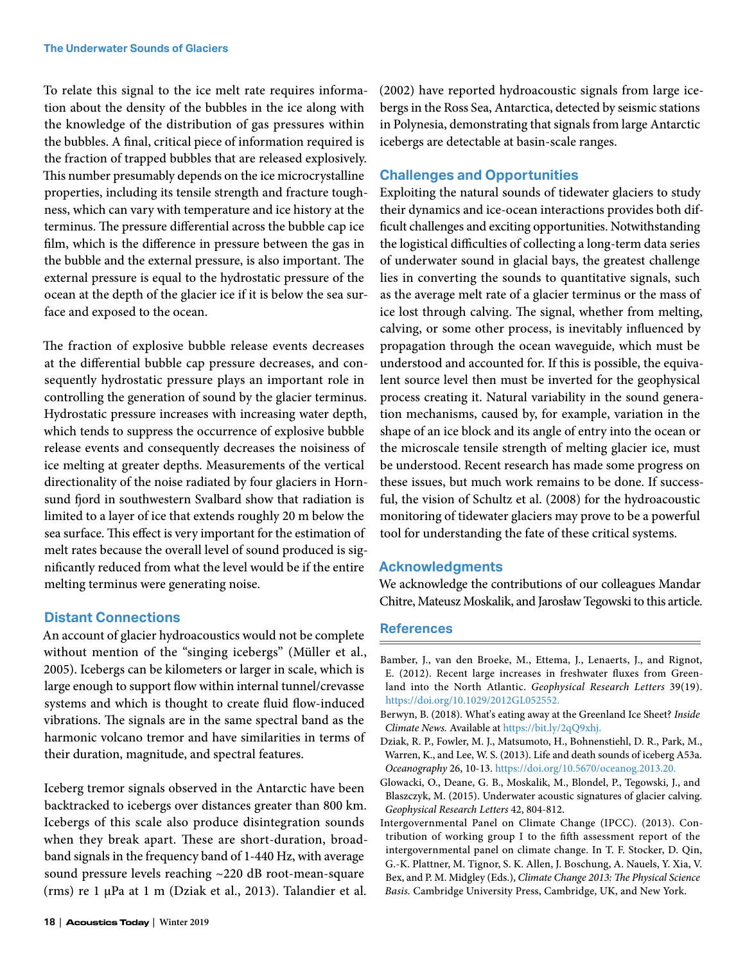To relate this signal to the ice melt rate requires information about the density of the bubbles in the ice along with the knowledge of the distribution of gas pressures within the bubbles. A final, critical piece of information required is the fraction of trapped bubbles that are released explosively. This number presumably depends on the ice microcrystalline properties, including its tensile strength and fracture toughness, which can vary with temperature and ice history at the terminus. The pressure differential across the bubble cap ice film, which is the difference in pressure between the gas in the bubble and the external pressure, is also important. The external pressure is equal to the hydrostatic pressure of the ocean at the depth of the glacier ice if it is below the sea surface and exposed to the ocean.

The fraction of explosive bubble release events decreases at the differential bubble cap pressure decreases, and consequently hydrostatic pressure plays an important role in controlling the generation of sound by the glacier terminus. Hydrostatic pressure increases with increasing water depth, which tends to suppress the occurrence of explosive bubble release events and consequently decreases the noisiness of ice melting at greater depths. Measurements of the vertical directionality of the noise radiated by four glaciers in Hornsund fjord in southwestern Svalbard show that radiation is limited to a layer of ice that extends roughly 20 m below the sea surface. This effect is very important for the estimation of melt rates because the overall level of sound produced is significantly reduced from what the level would be if the entire melting terminus were generating noise.

# **Distant Connections**

An account of glacier hydroacoustics would not be complete without mention of the "singing icebergs" (Müller et al., 2005). Icebergs can be kilometers or larger in scale, which is large enough to support flow within internal tunnel/crevasse systems and which is thought to create fluid flow-induced vibrations. The signals are in the same spectral band as the harmonic volcano tremor and have similarities in terms of their duration, magnitude, and spectral features.

Iceberg tremor signals observed in the Antarctic have been backtracked to icebergs over distances greater than 800 km. Icebergs of this scale also produce disintegration sounds when they break apart. These are short-duration, broadband signals in the frequency band of 1-440 Hz, with average sound pressure levels reaching ~220 dB root-mean-square (rms) re 1 μPa at 1 m (Dziak et al., 2013). Talandier et al. (2002) have reported hydroacoustic signals from large icebergs in the Ross Sea, Antarctica, detected by seismic stations in Polynesia, demonstrating that signals from large Antarctic icebergs are detectable at basin-scale ranges.

# **Challenges and Opportunities**

Exploiting the natural sounds of tidewater glaciers to study their dynamics and ice-ocean interactions provides both difficult challenges and exciting opportunities. Notwithstanding the logistical difficulties of collecting a long-term data series of underwater sound in glacial bays, the greatest challenge lies in converting the sounds to quantitative signals, such as the average melt rate of a glacier terminus or the mass of ice lost through calving. The signal, whether from melting, calving, or some other process, is inevitably influenced by propagation through the ocean waveguide, which must be understood and accounted for. If this is possible, the equivalent source level then must be inverted for the geophysical process creating it. Natural variability in the sound generation mechanisms, caused by, for example, variation in the shape of an ice block and its angle of entry into the ocean or the microscale tensile strength of melting glacier ice, must be understood. Recent research has made some progress on these issues, but much work remains to be done. If successful, the vision of Schultz et al. (2008) for the hydroacoustic monitoring of tidewater glaciers may prove to be a powerful tool for understanding the fate of these critical systems.

# **Acknowledgments**

We acknowledge the contributions of our colleagues Mandar Chitre, Mateusz Moskalik, and Jarosław Tegowski to this article.

#### **References**

- Bamber, J., van den Broeke, M., Ettema, J., Lenaerts, J., and Rignot, E. (2012). Recent large increases in freshwater fluxes from Greenland into the North Atlantic. *Geophysical Research Letters* 39(19). <https://doi.org/10.1029/2012GL052552>.
- Berwyn, B. (2018). What's eating away at the Greenland Ice Sheet? *Inside Climate News.* Available at <https://bit.ly/2qQ9xhj>.
- Dziak, R. P., Fowler, M. J., Matsumoto, H., Bohnenstiehl, D. R., Park, M., Warren, K., and Lee, W. S. (2013). Life and death sounds of iceberg A53a. *Oceanography* 26, 10-13. [https://doi.org/10.5670/oceanog.2013.20.](https://doi.org/10.5670/oceanog.2013.20)
- Glowacki, O., Deane, G. B., Moskalik, M., Blondel, P., Tegowski, J., and Blaszczyk, M. (2015). Underwater acoustic signatures of glacier calving. *Geophysical Research Letters* 42, 804-812.
- Intergovernmental Panel on Climate Change (IPCC). (2013). Contribution of working group I to the fifth assessment report of the intergovernmental panel on climate change. In T. F. Stocker, D. Qin, G.-K. Plattner, M. Tignor, S. K. Allen, J. Boschung, A. Nauels, Y. Xia, V. Bex, and P. M. Midgley (Eds.), *Climate Change 2013: The Physical Science Basis.* Cambridge University Press, Cambridge, UK, and New York.